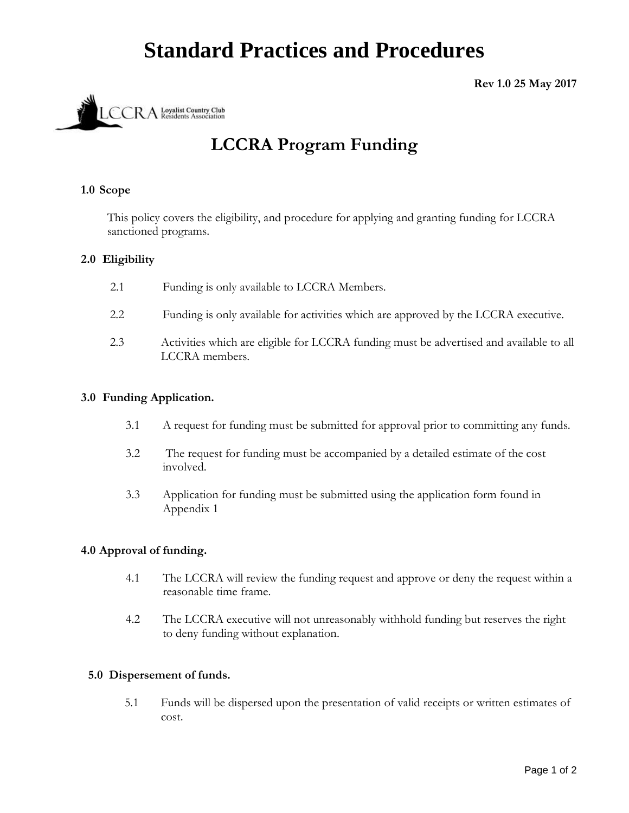# **Standard Practices and Procedures**

# **Rev 1.0 25 May 2017**



# **LCCRA Program Funding**

## **1.0 Scope**

This policy covers the eligibility, and procedure for applying and granting funding for LCCRA sanctioned programs.

## **2.0 Eligibility**

| 2.1 | Funding is only available to LCCRA Members. |
|-----|---------------------------------------------|
|-----|---------------------------------------------|

- 2.2 Funding is only available for activities which are approved by the LCCRA executive.
- 2.3 Activities which are eligible for LCCRA funding must be advertised and available to all LCCRA members.

#### **3.0 Funding Application.**

- 3.1 A request for funding must be submitted for approval prior to committing any funds.
- 3.2 The request for funding must be accompanied by a detailed estimate of the cost involved.
- 3.3 Application for funding must be submitted using the application form found in Appendix 1

#### **4.0 Approval of funding.**

- 4.1 The LCCRA will review the funding request and approve or deny the request within a reasonable time frame.
- 4.2 The LCCRA executive will not unreasonably withhold funding but reserves the right to deny funding without explanation.

#### **5.0 Dispersement of funds.**

5.1 Funds will be dispersed upon the presentation of valid receipts or written estimates of cost.